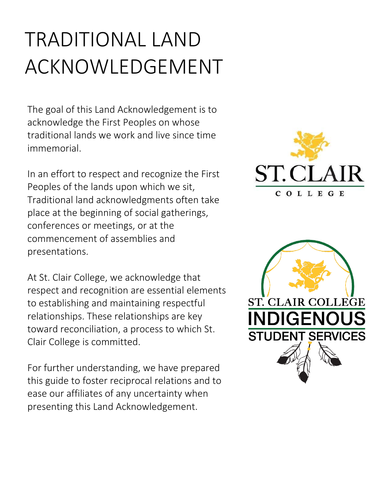# TRADITIONAL LAND ACKNOWLEDGEMENT

The goal of this Land Acknowledgement is to acknowledge the First Peoples on whose traditional lands we work and live since time immemorial.

In an effort to respect and recognize the First Peoples of the lands upon which we sit, Traditional land acknowledgments often take place at the beginning of social gatherings, conferences or meetings, or at the commencement of assemblies and presentations.

At St. Clair College, we acknowledge that respect and recognition are essential elements to establishing and maintaining respectful relationships. These relationships are key toward reconciliation, a process to which St. Clair College is committed.

For further understanding, we have prepared this guide to foster reciprocal relations and to ease our affiliates of any uncertainty when presenting this Land Acknowledgement.